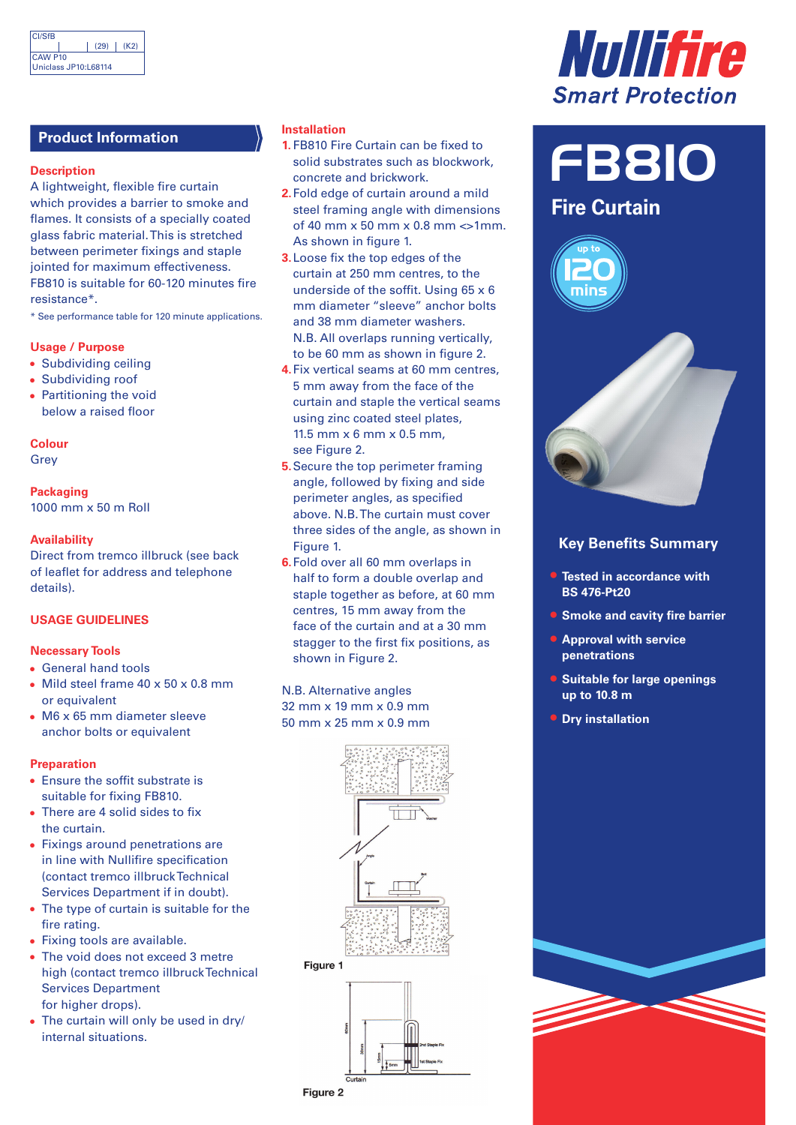# **Product Information**

# **Description**

A lightweight, flexible fire curtain which provides a barrier to smoke and flames. It consists of a specially coated glass fabric material. This is stretched between perimeter fixings and staple jointed for maximum effectiveness. FB810 is suitable for 60-120 minutes fire resistance\*.

\* See performance table for 120 minute applications.

## **Usage / Purpose**

- **•** Subdividing ceiling
- **•** Subdividing roof
- **•** Partitioning the void below a raised floor

# **Colour**

**Grey** 

#### **Packaging** 1000 mm x 50 m Roll

**Availability**

Direct from tremco illbruck (see back of leaflet for address and telephone details).

## **USAGE GUIDELINES**

## **Necessary Tools**

- **•** General hand tools
- **•** Mild steel frame 40 x 50 x 0.8 mm or equivalent
- **•** M6 x 65 mm diameter sleeve anchor bolts or equivalent

## **Preparation**

- **•** Ensure the soffit substrate is suitable for fixing FB810.
- **•** There are 4 solid sides to fix the curtain.
- **•** Fixings around penetrations are in line with Nullifire specification (contact tremco illbruck Technical Services Department if in doubt).
- **•** The type of curtain is suitable for the fire rating.
- **•** Fixing tools are available.
- **•** The void does not exceed 3 metre high (contact tremco illbruck Technical Services Department for higher drops).
- **•** The curtain will only be used in dry/ internal situations.

## **Installation**

- **1.** FB810 Fire Curtain can be fixed to solid substrates such as blockwork, concrete and brickwork.
- **2.**Fold edge of curtain around a mild steel framing angle with dimensions of 40 mm x 50 mm x 0.8 mm <>1mm. As shown in figure 1.
- **3.**Loose fix the top edges of the curtain at 250 mm centres, to the underside of the soffit. Using 65 x 6 mm diameter "sleeve" anchor bolts and 38 mm diameter washers. N.B. All overlaps running vertically, to be 60 mm as shown in figure 2.
- **4.**Fix vertical seams at 60 mm centres, 5 mm away from the face of the curtain and staple the vertical seams using zinc coated steel plates, 11.5 mm x 6 mm x 0.5 mm, see Figure 2.
- **5.**Secure the top perimeter framing angle, followed by fixing and side perimeter angles, as specified above. N.B. The curtain must cover three sides of the angle, as shown in Figure 1.
- **6.**Fold over all 60 mm overlaps in half to form a double overlap and staple together as before, at 60 mm centres, 15 mm away from the face of the curtain and at a 30 mm stagger to the first fix positions, as shown in Figure 2.

N.B. Alternative angles 32 mm x 19 mm x 0.9 mm 50 mm x 25 mm x 0.9 mm















# **Key Benefits Summary**

- **• Tested in accordance with BS 476-Pt20**
- **• Smoke and cavity fire barrier**
- **• Approval with service penetrations**
- **• Suitable for large openings up to 10.8 m**
- **• Dry installation**